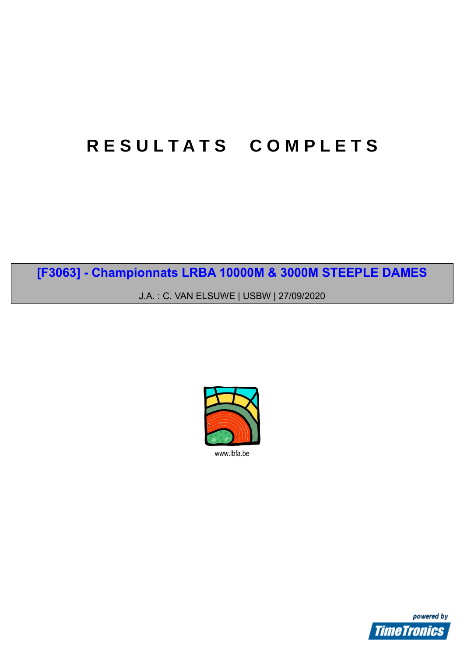# **R E S U L T A T S C O M P L E T S**

**[F3063] - Championnats LRBA 10000M & 3000M STEEPLE DAMES**

J.A. : C. VAN ELSUWE | USBW | 27/09/2020



www.lbfa.be

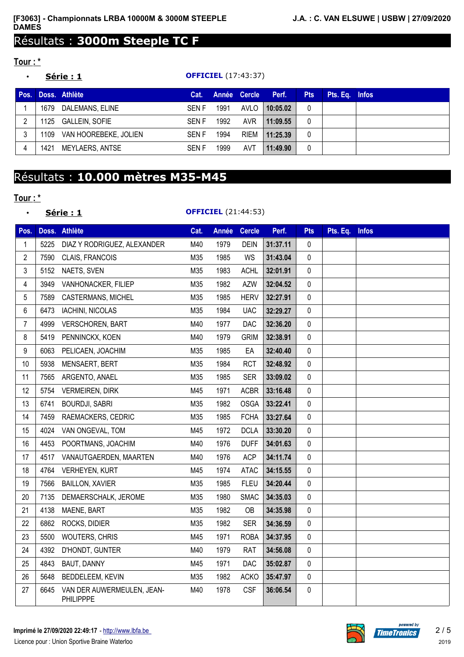### Résultats : **3000m Steeple TC F**

#### **Tour : \***

#### • **Série : 1 OFFICIEL** (17:43:37)

| Pos. |      | Doss, Athlète         | Cat.        |      | Année Cercle | Perf.    | <b>Pts</b> | Pts. Eq. Infos |  |
|------|------|-----------------------|-------------|------|--------------|----------|------------|----------------|--|
|      | 1679 | DALEMANS, ELINE       | <b>SENF</b> | 1991 | AVLO         | 10:05.02 |            |                |  |
|      | 1125 | GALLEIN, SOFIE        | <b>SENF</b> | 1992 | <b>AVR</b>   | 11:09.55 |            |                |  |
| ົ    | 1109 | VAN HOOREBEKE, JOLIEN | <b>SENF</b> | 1994 | <b>RIEM</b>  | 11:25.39 |            |                |  |
|      | 1421 | MEYLAERS, ANTSE       | <b>SENF</b> | 1999 | AVT          | 11:49.90 |            |                |  |

## Résultats : **10.000 mètres M35-M45**

#### **Tour : \***

#### • **Série : 1 OFFICIEL** (21:44:53)

| Pos.             |      | Doss. Athlète                                  | Cat. | <b>Année</b> | <b>Cercle</b> | Perf.    | <b>Pts</b>   | Pts. Eq. | <b>Infos</b> |
|------------------|------|------------------------------------------------|------|--------------|---------------|----------|--------------|----------|--------------|
| 1                | 5225 | DIAZ Y RODRIGUEZ, ALEXANDER                    | M40  | 1979         | <b>DEIN</b>   | 31:37.11 | $\mathbf{0}$ |          |              |
| $\overline{c}$   | 7590 | CLAIS, FRANCOIS                                | M35  | 1985         | WS            | 31:43.04 | 0            |          |              |
| 3                | 5152 | NAETS, SVEN                                    | M35  | 1983         | <b>ACHL</b>   | 32:01.91 | $\Omega$     |          |              |
| 4                | 3949 | VANHONACKER, FILIEP                            | M35  | 1982         | <b>AZW</b>    | 32:04.52 | 0            |          |              |
| 5                | 7589 | <b>CASTERMANS, MICHEL</b>                      | M35  | 1985         | <b>HERV</b>   | 32:27.91 | 0            |          |              |
| 6                | 6473 | <b>IACHINI, NICOLAS</b>                        | M35  | 1984         | <b>UAC</b>    | 32:29.27 | 0            |          |              |
| 7                | 4999 | <b>VERSCHOREN, BART</b>                        | M40  | 1977         | DAC           | 32:36.20 | 0            |          |              |
| 8                | 5419 | PENNINCKX, KOEN                                | M40  | 1979         | <b>GRIM</b>   | 32:38.91 | 0            |          |              |
| $\boldsymbol{9}$ | 6063 | PELICAEN, JOACHIM                              | M35  | 1985         | EA            | 32:40.40 | 0            |          |              |
| 10               | 5938 | MENSAERT, BERT                                 | M35  | 1984         | <b>RCT</b>    | 32:48.92 | 0            |          |              |
| 11               | 7565 | ARGENTO, ANAEL                                 | M35  | 1985         | <b>SER</b>    | 33:09.02 | 0            |          |              |
| 12               | 5754 | <b>VERMEIREN, DIRK</b>                         | M45  | 1971         | <b>ACBR</b>   | 33:16.48 | $\mathbf{0}$ |          |              |
| 13               | 6741 | <b>BOURDJI, SABRI</b>                          | M35  | 1982         | <b>OSGA</b>   | 33:22.41 | 0            |          |              |
| 14               | 7459 | RAEMACKERS, CEDRIC                             | M35  | 1985         | <b>FCHA</b>   | 33:27.64 | 0            |          |              |
| 15               | 4024 | VAN ONGEVAL, TOM                               | M45  | 1972         | <b>DCLA</b>   | 33:30.20 | 0            |          |              |
| 16               | 4453 | POORTMANS, JOACHIM                             | M40  | 1976         | <b>DUFF</b>   | 34:01.63 | 0            |          |              |
| 17               | 4517 | VANAUTGAERDEN, MAARTEN                         | M40  | 1976         | <b>ACP</b>    | 34:11.74 | 0            |          |              |
| 18               | 4764 | <b>VERHEYEN, KURT</b>                          | M45  | 1974         | <b>ATAC</b>   | 34:15.55 | 0            |          |              |
| 19               | 7566 | <b>BAILLON, XAVIER</b>                         | M35  | 1985         | <b>FLEU</b>   | 34:20.44 | 0            |          |              |
| 20               | 7135 | DEMAERSCHALK, JEROME                           | M35  | 1980         | <b>SMAC</b>   | 34:35.03 | 0            |          |              |
| 21               | 4138 | MAENE, BART                                    | M35  | 1982         | OB            | 34:35.98 | 0            |          |              |
| 22               | 6862 | ROCKS, DIDIER                                  | M35  | 1982         | <b>SER</b>    | 34:36.59 | 0            |          |              |
| 23               | 5500 | WOUTERS, CHRIS                                 | M45  | 1971         | <b>ROBA</b>   | 34:37.95 | 0            |          |              |
| 24               | 4392 | D'HONDT, GUNTER                                | M40  | 1979         | <b>RAT</b>    | 34:56.08 | 0            |          |              |
| 25               | 4843 | BAUT, DANNY                                    | M45  | 1971         | DAC           | 35:02.87 | 0            |          |              |
| 26               | 5648 | BEDDELEEM, KEVIN                               | M35  | 1982         | <b>ACKO</b>   | 35:47.97 | $\mathbf 0$  |          |              |
| 27               | 6645 | VAN DER AUWERMEULEN, JEAN-<br><b>PHILIPPPE</b> | M40  | 1978         | <b>CSF</b>    | 36:06.54 | 0            |          |              |



powered by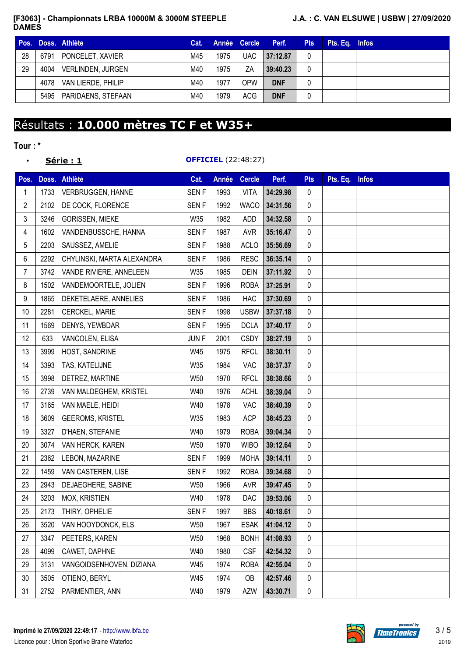#### **[F3063] - Championnats LRBA 10000M & 3000M STEEPLE DAMES**

#### **J.A. : C. VAN ELSUWE | USBW | 27/09/2020**

| Pos. |      | Doss, Athlète            | Cat. |      | Année Cercle | Perf.      | <b>Pts</b> | Pts. Eq. Infos |  |
|------|------|--------------------------|------|------|--------------|------------|------------|----------------|--|
| 28   | 6791 | PONCELET, XAVIER         | M45  | 1975 | <b>UAC</b>   | 37:12.87   |            |                |  |
| 29   | 4004 | <b>VERLINDEN, JURGEN</b> | M40  | 1975 | ΖA           | 39:40.23   |            |                |  |
|      | 4078 | VAN LIERDE, PHILIP       | M40  | 1977 | <b>OPW</b>   | <b>DNF</b> |            |                |  |
|      |      | 5495 PARIDAENS, STEFAAN  | M40  | 1979 | <b>ACG</b>   | <b>DNF</b> |            |                |  |

## Résultats : **10.000 mètres TC F et W35+**

#### **Tour : \***

|                |      | <u> Série : 1</u>          |                  |       | <b>OFFICIEL</b> (22:48:27) |          |             |          |              |
|----------------|------|----------------------------|------------------|-------|----------------------------|----------|-------------|----------|--------------|
| Pos.           |      | Doss. Athlète              | Cat.             | Année | <b>Cercle</b>              | Perf.    | <b>Pts</b>  | Pts. Eq. | <b>Infos</b> |
| 1              | 1733 | VERBRUGGEN, HANNE          | <b>SENF</b>      | 1993  | <b>VITA</b>                | 34:29.98 | 0           |          |              |
| $\overline{2}$ | 2102 | DE COCK, FLORENCE          | <b>SENF</b>      | 1992  | <b>WACO</b>                | 34:31.56 | 0           |          |              |
| 3              | 3246 | <b>GORISSEN, MIEKE</b>     | W35              | 1982  | <b>ADD</b>                 | 34:32.58 | 0           |          |              |
| 4              | 1602 | VANDENBUSSCHE, HANNA       | <b>SENF</b>      | 1987  | <b>AVR</b>                 | 35:16.47 | 0           |          |              |
| $\sqrt{5}$     | 2203 | SAUSSEZ, AMELIE            | <b>SENF</b>      | 1988  | <b>ACLO</b>                | 35:56.69 | 0           |          |              |
| 6              | 2292 | CHYLINSKI, MARTA ALEXANDRA | <b>SENF</b>      | 1986  | <b>RESC</b>                | 36:35.14 | 0           |          |              |
| $\overline{7}$ | 3742 | VANDE RIVIERE, ANNELEEN    | W35              | 1985  | <b>DEIN</b>                | 37:11.92 | 0           |          |              |
| 8              | 1502 | VANDEMOORTELE, JOLIEN      | <b>SENF</b>      | 1996  | <b>ROBA</b>                | 37:25.91 | 0           |          |              |
| 9              | 1865 | DEKETELAERE, ANNELIES      | <b>SENF</b>      | 1986  | <b>HAC</b>                 | 37:30.69 | 0           |          |              |
| 10             | 2281 | CERCKEL, MARIE             | <b>SENF</b>      | 1998  | <b>USBW</b>                | 37:37.18 | 0           |          |              |
| 11             | 1569 | DENYS, YEWBDAR             | <b>SENF</b>      | 1995  | <b>DCLA</b>                | 37:40.17 | 0           |          |              |
| 12             | 633  | VANCOLEN, ELISA            | JUN <sub>F</sub> | 2001  | <b>CSDY</b>                | 38:27.19 | 0           |          |              |
| 13             | 3999 | HOST, SANDRINE             | W45              | 1975  | <b>RFCL</b>                | 38:30.11 | 0           |          |              |
| 14             | 3393 | TAS, KATELIJNE             | W35              | 1984  | VAC                        | 38:37.37 | 0           |          |              |
| 15             | 3998 | DETREZ, MARTINE            | W50              | 1970  | <b>RFCL</b>                | 38:38.66 | 0           |          |              |
| 16             | 2739 | VAN MALDEGHEM, KRISTEL     | W40              | 1976  | <b>ACHL</b>                | 38:39.04 | 0           |          |              |
| 17             | 3165 | VAN MAELE, HEIDI           | W40              | 1978  | <b>VAC</b>                 | 38:40.39 | 0           |          |              |
| 18             | 3609 | <b>GEEROMS, KRISTEL</b>    | W35              | 1983  | <b>ACP</b>                 | 38:45.23 | 0           |          |              |
| 19             | 3327 | D'HAEN, STEFANIE           | W40              | 1979  | <b>ROBA</b>                | 39:04.34 | 0           |          |              |
| 20             | 3074 | VAN HERCK, KAREN           | W50              | 1970  | <b>WIBO</b>                | 39:12.64 | $\mathbf 0$ |          |              |
| 21             | 2362 | LEBON, MAZARINE            | <b>SENF</b>      | 1999  | <b>MOHA</b>                | 39:14.11 | 0           |          |              |
| 22             | 1459 | VAN CASTEREN, LISE         | <b>SENF</b>      | 1992  | <b>ROBA</b>                | 39:34.68 | 0           |          |              |
| 23             | 2943 | DEJAEGHERE, SABINE         | W50              | 1966  | <b>AVR</b>                 | 39:47.45 | 0           |          |              |
| 24             | 3203 | <b>MOX, KRISTIEN</b>       | W40              | 1978  | DAC                        | 39:53.06 | 0           |          |              |
| 25             | 2173 | THIRY, OPHELIE             | <b>SENF</b>      | 1997  | <b>BBS</b>                 | 40:18.61 | 0           |          |              |
| 26             | 3520 | VAN HOOYDONCK, ELS         | W50              | 1967  | <b>ESAK</b>                | 41:04.12 | 0           |          |              |
| 27             | 3347 | PEETERS, KAREN             | W50              | 1968  | <b>BONH</b>                | 41:08.93 | 0           |          |              |
| 28             | 4099 | CAWET, DAPHNE              | W40              | 1980  | <b>CSF</b>                 | 42:54.32 | 0           |          |              |
| 29             | 3131 | VANGOIDSENHOVEN, DIZIANA   | W45              | 1974  | <b>ROBA</b>                | 42:55.04 | 0           |          |              |
| 30             | 3505 | OTIENO, BERYL              | W45              | 1974  | OB                         | 42:57.46 | 0           |          |              |
| 31             | 2752 | PARMENTIER, ANN            | W40              | 1979  | <b>AZW</b>                 | 43:30.71 | 0           |          |              |



ered by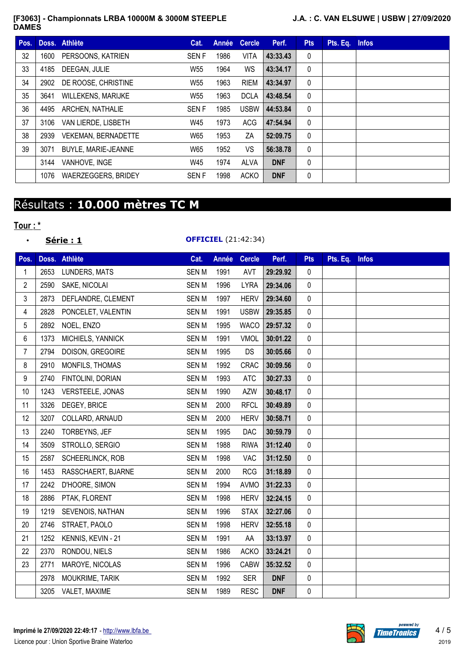#### **[F3063] - Championnats LRBA 10000M & 3000M STEEPLE DAMES**

#### **J.A. : C. VAN ELSUWE | USBW | 27/09/2020**

| Pos. |      | Doss. Athlète              | Cat.            | Année | <b>Cercle</b> | Perf.      | <b>Pts</b>   | Pts. Eq. | <b>Infos</b> |
|------|------|----------------------------|-----------------|-------|---------------|------------|--------------|----------|--------------|
| 32   | 1600 | PERSOONS, KATRIEN          | <b>SENF</b>     | 1986  | <b>VITA</b>   | 43:33.43   | 0            |          |              |
| 33   | 4185 | DEEGAN, JULIE              | W <sub>55</sub> | 1964  | WS            | 43:34.17   | $\mathbf{0}$ |          |              |
| 34   | 2902 | DE ROOSE, CHRISTINE        | W55             | 1963  | <b>RIEM</b>   | 43:34.97   | $\mathbf{0}$ |          |              |
| 35   | 3641 | <b>WILLEKENS, MARIJKE</b>  | W <sub>55</sub> | 1963  | <b>DCLA</b>   | 43:48.54   | $\mathbf{0}$ |          |              |
| 36   | 4495 | <b>ARCHEN, NATHALIE</b>    | <b>SENF</b>     | 1985  | <b>USBW</b>   | 44:53.84   | $\mathbf{0}$ |          |              |
| 37   | 3106 | VAN LIERDE, LISBETH        | W45             | 1973  | <b>ACG</b>    | 47:54.94   | $\mathbf{0}$ |          |              |
| 38   | 2939 | <b>VEKEMAN, BERNADETTE</b> | W65             | 1953  | ΖA            | 52:09.75   | $\mathbf{0}$ |          |              |
| 39   | 3071 | <b>BUYLE, MARIE-JEANNE</b> | W65             | 1952  | VS            | 56:38.78   | $\mathbf{0}$ |          |              |
|      | 3144 | VANHOVE, INGE              | W45             | 1974  | ALVA          | <b>DNF</b> | 0            |          |              |
|      | 1076 | <b>WAERZEGGERS, BRIDEY</b> | <b>SENF</b>     | 1998  | <b>ACKO</b>   | <b>DNF</b> | 0            |          |              |

## Résultats : **10.000 mètres TC M**

#### **Tour : \***

|                |      | Série : 1          |             |       | <b>OFFICIEL</b> (21:42:34) |            |            |          |              |
|----------------|------|--------------------|-------------|-------|----------------------------|------------|------------|----------|--------------|
| Pos.           |      | Doss. Athlète      | Cat.        | Année | <b>Cercle</b>              | Perf.      | <b>Pts</b> | Pts. Eq. | <b>Infos</b> |
| 1              | 2653 | LUNDERS, MATS      | <b>SENM</b> | 1991  | AVT                        | 29:29.92   | 0          |          |              |
| 2              | 2590 | SAKE, NICOLAI      | <b>SENM</b> | 1996  | <b>LYRA</b>                | 29:34.06   | 0          |          |              |
| 3              | 2873 | DEFLANDRE, CLEMENT | <b>SENM</b> | 1997  | <b>HERV</b>                | 29:34.60   | 0          |          |              |
| 4              | 2828 | PONCELET, VALENTIN | <b>SENM</b> | 1991  | <b>USBW</b>                | 29:35.85   | 0          |          |              |
| 5              | 2892 | NOEL, ENZO         | <b>SENM</b> | 1995  | <b>WACO</b>                | 29:57.32   | 0          |          |              |
| 6              | 1373 | MICHIELS, YANNICK  | <b>SENM</b> | 1991  | <b>VMOL</b>                | 30:01.22   | 0          |          |              |
| $\overline{7}$ | 2794 | DOISON, GREGOIRE   | <b>SENM</b> | 1995  | <b>DS</b>                  | 30:05.66   | 0          |          |              |
| 8              | 2910 | MONFILS, THOMAS    | <b>SENM</b> | 1992  | CRAC                       | 30:09.56   | 0          |          |              |
| 9              | 2740 | FINTOLINI, DORIAN  | <b>SENM</b> | 1993  | <b>ATC</b>                 | 30:27.33   | 0          |          |              |
| 10             | 1243 | VERSTEELE, JONAS   | <b>SENM</b> | 1990  | <b>AZW</b>                 | 30:48.17   | 0          |          |              |
| 11             | 3326 | DEGEY, BRICE       | <b>SENM</b> | 2000  | <b>RFCL</b>                | 30:49.89   | 0          |          |              |
| 12             | 3207 | COLLARD, ARNAUD    | <b>SENM</b> | 2000  | <b>HERV</b>                | 30:58.71   | 0          |          |              |
| 13             | 2240 | TORBEYNS, JEF      | <b>SENM</b> | 1995  | <b>DAC</b>                 | 30:59.79   | 0          |          |              |
| 14             | 3509 | STROLLO, SERGIO    | <b>SENM</b> | 1988  | <b>RIWA</b>                | 31:12.40   | 0          |          |              |
| 15             | 2587 | SCHEERLINCK, ROB   | <b>SENM</b> | 1998  | <b>VAC</b>                 | 31:12.50   | 0          |          |              |
| 16             | 1453 | RASSCHAERT, BJARNE | <b>SENM</b> | 2000  | <b>RCG</b>                 | 31:18.89   | 0          |          |              |
| 17             | 2242 | D'HOORE, SIMON     | <b>SENM</b> | 1994  | <b>AVMO</b>                | 31:22.33   | 0          |          |              |
| 18             | 2886 | PTAK, FLORENT      | <b>SENM</b> | 1998  | <b>HERV</b>                | 32:24.15   | 0          |          |              |
| 19             | 1219 | SEVENOIS, NATHAN   | <b>SENM</b> | 1996  | <b>STAX</b>                | 32:27.06   | 0          |          |              |
| 20             | 2746 | STRAET, PAOLO      | <b>SENM</b> | 1998  | <b>HERV</b>                | 32:55.18   | 0          |          |              |
| 21             | 1252 | KENNIS, KEVIN - 21 | <b>SENM</b> | 1991  | AA                         | 33:13.97   | 0          |          |              |
| 22             | 2370 | RONDOU, NIELS      | <b>SENM</b> | 1986  | <b>ACKO</b>                | 33:24.21   | 0          |          |              |
| 23             | 2771 | MAROYE, NICOLAS    | <b>SENM</b> | 1996  | <b>CABW</b>                | 35:32.52   | 0          |          |              |
|                | 2978 | MOUKRIME, TARIK    | <b>SENM</b> | 1992  | <b>SER</b>                 | <b>DNF</b> | 0          |          |              |
|                | 3205 | VALET, MAXIME      | <b>SENM</b> | 1989  | <b>RESC</b>                | <b>DNF</b> | 0          |          |              |